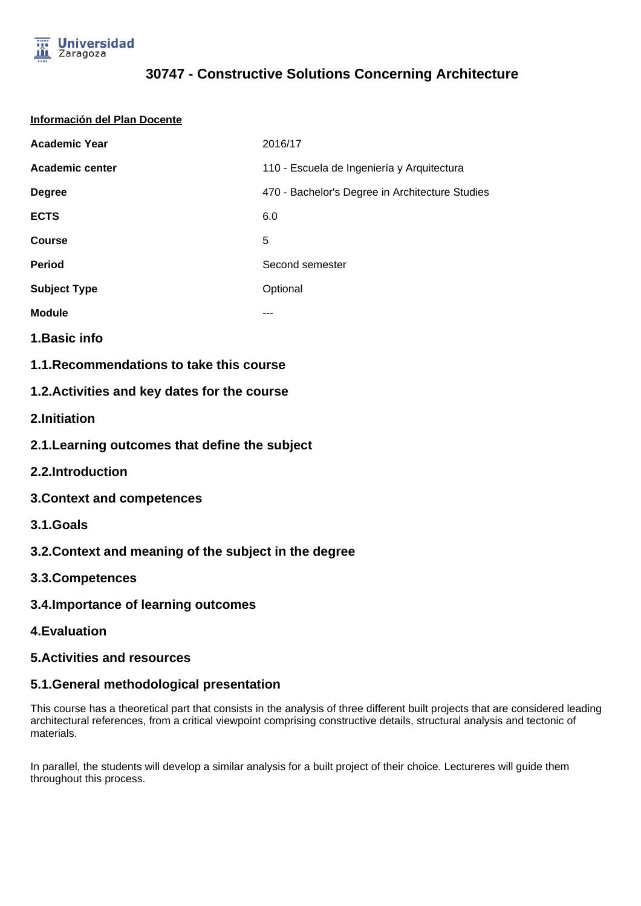

# **30747 - Constructive Solutions Concerning Architecture**

| Información del Plan Docente |                                                 |
|------------------------------|-------------------------------------------------|
| <b>Academic Year</b>         | 2016/17                                         |
| <b>Academic center</b>       | 110 - Escuela de Ingeniería y Arquitectura      |
| <b>Degree</b>                | 470 - Bachelor's Degree in Architecture Studies |
| <b>ECTS</b>                  | 6.0                                             |
| <b>Course</b>                | 5                                               |
| <b>Period</b>                | Second semester                                 |
| <b>Subject Type</b>          | Optional                                        |
| <b>Module</b>                |                                                 |
|                              |                                                 |

- **1.Basic info**
- **1.1.Recommendations to take this course**

## **1.2.Activities and key dates for the course**

- **2.Initiation**
- **2.1.Learning outcomes that define the subject**
- **2.2.Introduction**
- **3.Context and competences**
- **3.1.Goals**
- **3.2.Context and meaning of the subject in the degree**
- **3.3.Competences**
- **3.4.Importance of learning outcomes**
- **4.Evaluation**

#### **5.Activities and resources**

## **5.1.General methodological presentation**

This course has a theoretical part that consists in the analysis of three different built projects that are considered leading architectural references, from a critical viewpoint comprising constructive details, structural analysis and tectonic of materials.

In parallel, the students will develop a similar analysis for a built project of their choice. Lectureres will guide them throughout this process.